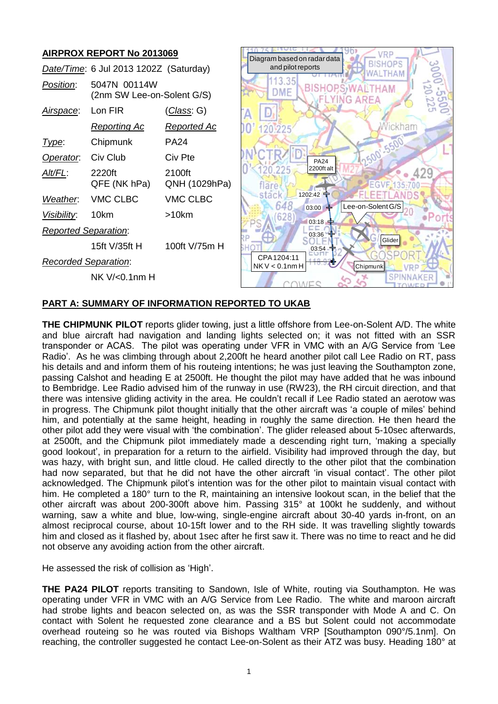

# **PART A: SUMMARY OF INFORMATION REPORTED TO UKAB**

**THE CHIPMUNK PILOT** reports glider towing, just a little offshore from Lee-on-Solent A/D. The white and blue aircraft had navigation and landing lights selected on; it was not fitted with an SSR transponder or ACAS. The pilot was operating under VFR in VMC with an A/G Service from 'Lee Radio'. As he was climbing through about 2,200ft he heard another pilot call Lee Radio on RT, pass his details and and inform them of his routeing intentions; he was just leaving the Southampton zone, passing Calshot and heading E at 2500ft. He thought the pilot may have added that he was inbound to Bembridge. Lee Radio advised him of the runway in use (RW23), the RH circuit direction, and that there was intensive gliding activity in the area. He couldn't recall if Lee Radio stated an aerotow was in progress. The Chipmunk pilot thought initially that the other aircraft was 'a couple of miles' behind him, and potentially at the same height, heading in roughly the same direction. He then heard the other pilot add they were visual with 'the combination'. The glider released about 5-10sec afterwards, at 2500ft, and the Chipmunk pilot immediately made a descending right turn, 'making a specially good lookout', in preparation for a return to the airfield. Visibility had improved through the day, but was hazy, with bright sun, and little cloud. He called directly to the other pilot that the combination had now separated, but that he did not have the other aircraft 'in visual contact'. The other pilot acknowledged. The Chipmunk pilot's intention was for the other pilot to maintain visual contact with him. He completed a 180° turn to the R, maintaining an intensive lookout scan, in the belief that the other aircraft was about 200-300ft above him. Passing 315° at 100kt he suddenly, and without warning, saw a white and blue, low-wing, single-engine aircraft about 30-40 yards in-front, on an almost reciprocal course, about 10-15ft lower and to the RH side. It was travelling slightly towards him and closed as it flashed by, about 1sec after he first saw it. There was no time to react and he did not observe any avoiding action from the other aircraft.

He assessed the risk of collision as 'High'.

**THE PA24 PILOT** reports transiting to Sandown, Isle of White, routing via Southampton. He was operating under VFR in VMC with an A/G Service from Lee Radio. The white and maroon aircraft had strobe lights and beacon selected on, as was the SSR transponder with Mode A and C. On contact with Solent he requested zone clearance and a BS but Solent could not accommodate overhead routeing so he was routed via Bishops Waltham VRP [Southampton 090°/5.1nm]. On reaching, the controller suggested he contact Lee-on-Solent as their ATZ was busy. Heading 180° at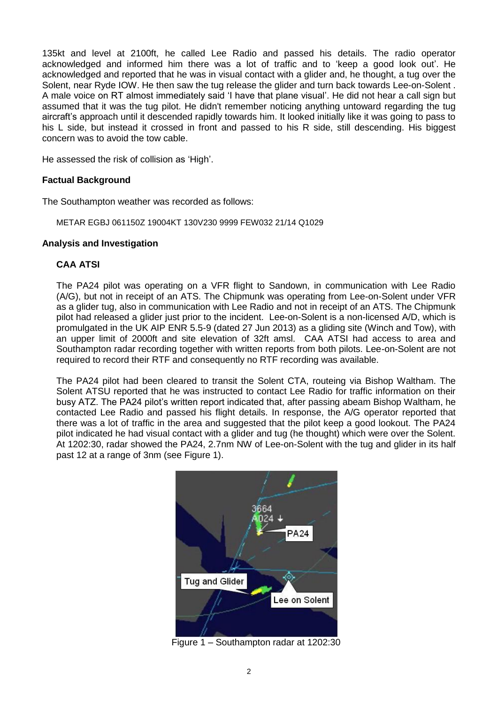135kt and level at 2100ft, he called Lee Radio and passed his details. The radio operator acknowledged and informed him there was a lot of traffic and to 'keep a good look out'. He acknowledged and reported that he was in visual contact with a glider and, he thought, a tug over the Solent, near Ryde IOW. He then saw the tug release the glider and turn back towards Lee-on-Solent . A male voice on RT almost immediately said 'I have that plane visual'. He did not hear a call sign but assumed that it was the tug pilot. He didn't remember noticing anything untoward regarding the tug aircraft's approach until it descended rapidly towards him. It looked initially like it was going to pass to his L side, but instead it crossed in front and passed to his R side, still descending. His biggest concern was to avoid the tow cable.

He assessed the risk of collision as 'High'.

### **Factual Background**

The Southampton weather was recorded as follows:

METAR EGBJ 061150Z 19004KT 130V230 9999 FEW032 21/14 Q1029

#### **Analysis and Investigation**

### **CAA ATSI**

The PA24 pilot was operating on a VFR flight to Sandown, in communication with Lee Radio (A/G), but not in receipt of an ATS. The Chipmunk was operating from Lee-on-Solent under VFR as a glider tug, also in communication with Lee Radio and not in receipt of an ATS. The Chipmunk pilot had released a glider just prior to the incident. Lee-on-Solent is a non-licensed A/D, which is promulgated in the UK AIP ENR 5.5-9 (dated 27 Jun 2013) as a gliding site (Winch and Tow), with an upper limit of 2000ft and site elevation of 32ft amsl. CAA ATSI had access to area and Southampton radar recording together with written reports from both pilots. Lee-on-Solent are not required to record their RTF and consequently no RTF recording was available.

The PA24 pilot had been cleared to transit the Solent CTA, routeing via Bishop Waltham. The Solent ATSU reported that he was instructed to contact Lee Radio for traffic information on their busy ATZ. The PA24 pilot's written report indicated that, after passing abeam Bishop Waltham, he contacted Lee Radio and passed his flight details. In response, the A/G operator reported that there was a lot of traffic in the area and suggested that the pilot keep a good lookout. The PA24 pilot indicated he had visual contact with a glider and tug (he thought) which were over the Solent. At 1202:30, radar showed the PA24, 2.7nm NW of Lee-on-Solent with the tug and glider in its half past 12 at a range of 3nm (see Figure 1).



Figure 1 – Southampton radar at 1202:30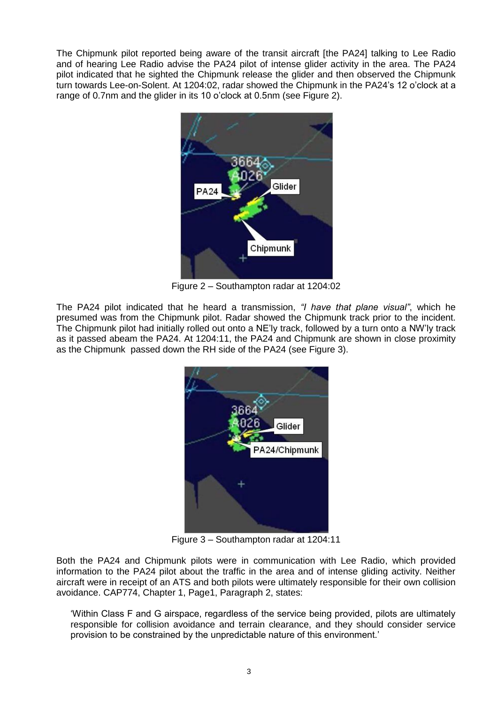The Chipmunk pilot reported being aware of the transit aircraft [the PA24] talking to Lee Radio and of hearing Lee Radio advise the PA24 pilot of intense glider activity in the area. The PA24 pilot indicated that he sighted the Chipmunk release the glider and then observed the Chipmunk turn towards Lee-on-Solent. At 1204:02, radar showed the Chipmunk in the PA24's 12 o'clock at a range of 0.7nm and the glider in its 10 o'clock at 0.5nm (see Figure 2).



Figure 2 – Southampton radar at 1204:02

The PA24 pilot indicated that he heard a transmission, *"I have that plane visual"*, which he presumed was from the Chipmunk pilot. Radar showed the Chipmunk track prior to the incident. The Chipmunk pilot had initially rolled out onto a NE'ly track, followed by a turn onto a NW'ly track as it passed abeam the PA24. At 1204:11, the PA24 and Chipmunk are shown in close proximity as the Chipmunk passed down the RH side of the PA24 (see Figure 3).



Figure 3 – Southampton radar at 1204:11

Both the PA24 and Chipmunk pilots were in communication with Lee Radio, which provided information to the PA24 pilot about the traffic in the area and of intense gliding activity. Neither aircraft were in receipt of an ATS and both pilots were ultimately responsible for their own collision avoidance. CAP774, Chapter 1, Page1, Paragraph 2, states:

'Within Class F and G airspace, regardless of the service being provided, pilots are ultimately responsible for collision avoidance and terrain clearance, and they should consider service provision to be constrained by the unpredictable nature of this environment.'